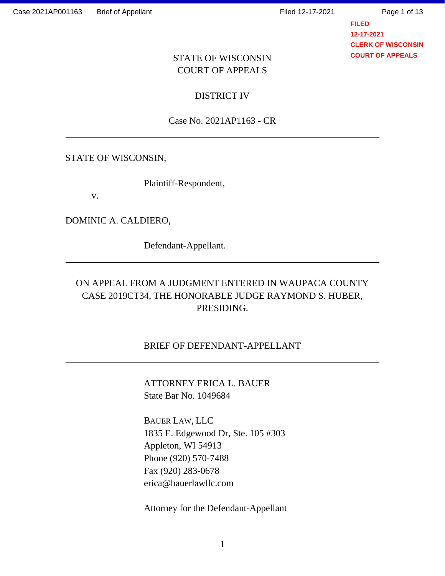**FILED 12-17-2021 CLERK OF WISCONSIN COURT OF APPEALS**

### STATE OF WISCONSIN COURT OF APPEALS

DISTRICT IV

Case No. 2021AP1163 - CR

#### STATE OF WISCONSIN,

Plaintiff-Respondent,

v.

DOMINIC A. CALDIERO,

Defendant-Appellant.

## ON APPEAL FROM A JUDGMENT ENTERED IN WAUPACA COUNTY CASE 2019CT34, THE HONORABLE JUDGE RAYMOND S. HUBER, PRESIDING.

#### BRIEF OF DEFENDANT-APPELLANT

ATTORNEY ERICA L. BAUER State Bar No. 1049684

BAUER LAW, LLC 1835 E. Edgewood Dr, Ste. 105 #303 Appleton, WI 54913 Phone (920) 570-7488 Fax (920) 283-0678 erica@bauerlawllc.com

Attorney for the Defendant-Appellant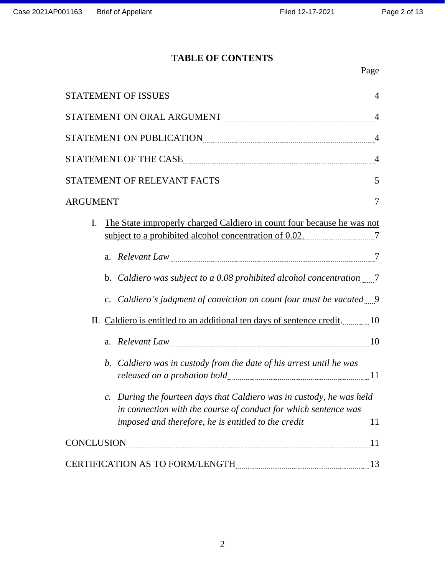## **TABLE OF CONTENTS**

# Page

| STATEMENT ON ORAL ARGUMENT MARIEURE AND A 4                                                                                                              |
|----------------------------------------------------------------------------------------------------------------------------------------------------------|
| STATEMENT ON PUBLICATION MARIE AND RESERVE TO A 4                                                                                                        |
| STATEMENT OF THE CASE MARKET AND RESIDENCE ASSESSED. A 4                                                                                                 |
| STATEMENT OF RELEVANT FACTS MARIE AND RELIGION MARKET STATEMENT OF RELEVANT FACTS                                                                        |
|                                                                                                                                                          |
| The State improperly charged Caldiero in count four because he was not<br>I.                                                                             |
|                                                                                                                                                          |
|                                                                                                                                                          |
| c. Caldiero's judgment of conviction on count four must be vacated 9                                                                                     |
| II. Caldiero is entitled to an additional ten days of sentence credit. 10                                                                                |
| Relevant Law 10<br>a.                                                                                                                                    |
| Caldiero was in custody from the date of his arrest until he was<br>b.                                                                                   |
| During the fourteen days that Caldiero was in custody, he was held<br>$\mathcal{C}$ .<br>in connection with the course of conduct for which sentence was |
| imposed and therefore, he is entitled to the credit11                                                                                                    |
| $CONCLUSION$ 11                                                                                                                                          |
| <b>CERTIFICATION AS TO FORM/LENGTH</b><br>13                                                                                                             |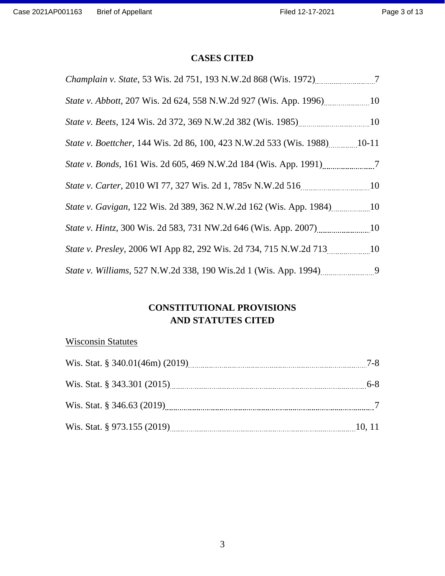### **CASES CITED**

| Champlain v. State, 53 Wis. 2d 751, 193 N.W.2d 868 (Wis. 1972) _______________7 |  |
|---------------------------------------------------------------------------------|--|
| <i>State v. Abbott, 207 Wis. 2d 624, 558 N.W.2d 927 (Wis. App. 1996)</i> 10     |  |
|                                                                                 |  |
|                                                                                 |  |
| <i>State v. Bonds</i> , 161 Wis. 2d 605, 469 N.W.2d 184 (Wis. App. 1991) 7      |  |
| State v. Carter, 2010 WI 77, 327 Wis. 2d 1, 785v N.W.2d 516                     |  |
| State v. Gavigan, 122 Wis. 2d 389, 362 N.W.2d 162 (Wis. App. 1984) 10           |  |
| <i>State v. Hintz, 300 Wis. 2d 583, 731 NW.2d 646 (Wis. App. 2007)</i> 10       |  |
| State v. Presley, 2006 WI App 82, 292 Wis. 2d 734, 715 N.W.2d 713 10            |  |
|                                                                                 |  |

### **CONSTITUTIONAL PROVISIONS AND STATUTES CITED**

## Wisconsin Statutes

|                               | $7 - 8$ |
|-------------------------------|---------|
| Wis. Stat. § 343.301 (2015)   | $6-8$   |
| Wis. Stat. $\S$ 346.63 (2019) |         |
| Wis. Stat. § 973.155 (2019)   | 10.11   |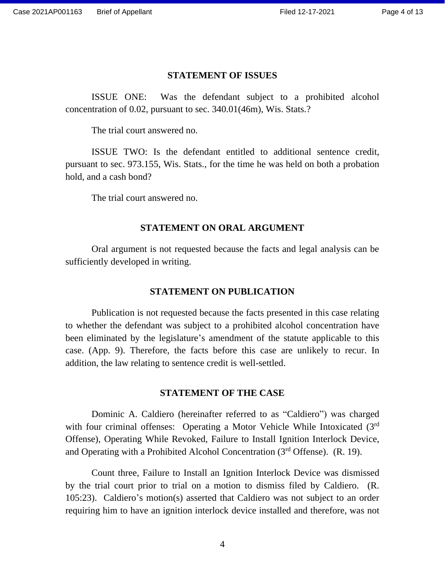#### **STATEMENT OF ISSUES**

ISSUE ONE: Was the defendant subject to a prohibited alcohol concentration of 0.02, pursuant to sec. 340.01(46m), Wis. Stats.?

The trial court answered no.

ISSUE TWO: Is the defendant entitled to additional sentence credit, pursuant to sec. 973.155, Wis. Stats., for the time he was held on both a probation hold, and a cash bond?

The trial court answered no.

#### **STATEMENT ON ORAL ARGUMENT**

Oral argument is not requested because the facts and legal analysis can be sufficiently developed in writing.

#### **STATEMENT ON PUBLICATION**

Publication is not requested because the facts presented in this case relating to whether the defendant was subject to a prohibited alcohol concentration have been eliminated by the legislature's amendment of the statute applicable to this case. (App. 9). Therefore, the facts before this case are unlikely to recur. In addition, the law relating to sentence credit is well-settled.

#### **STATEMENT OF THE CASE**

Dominic A. Caldiero (hereinafter referred to as "Caldiero") was charged with four criminal offenses: Operating a Motor Vehicle While Intoxicated (3<sup>rd</sup>) Offense), Operating While Revoked, Failure to Install Ignition Interlock Device, and Operating with a Prohibited Alcohol Concentration (3rd Offense). (R. 19).

Count three, Failure to Install an Ignition Interlock Device was dismissed by the trial court prior to trial on a motion to dismiss filed by Caldiero. (R. 105:23). Caldiero's motion(s) asserted that Caldiero was not subject to an order requiring him to have an ignition interlock device installed and therefore, was not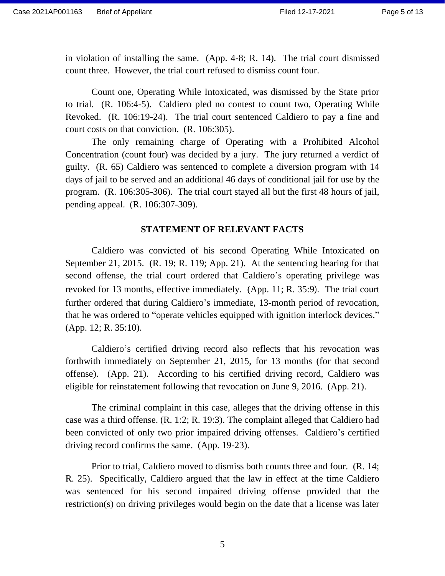in violation of installing the same. (App. 4-8; R. 14). The trial court dismissed count three. However, the trial court refused to dismiss count four.

Count one, Operating While Intoxicated, was dismissed by the State prior to trial. (R. 106:4-5). Caldiero pled no contest to count two, Operating While Revoked. (R. 106:19-24). The trial court sentenced Caldiero to pay a fine and court costs on that conviction. (R. 106:305).

The only remaining charge of Operating with a Prohibited Alcohol Concentration (count four) was decided by a jury. The jury returned a verdict of guilty. (R. 65) Caldiero was sentenced to complete a diversion program with 14 days of jail to be served and an additional 46 days of conditional jail for use by the program. (R. 106:305-306). The trial court stayed all but the first 48 hours of jail, pending appeal. (R. 106:307-309).

#### **STATEMENT OF RELEVANT FACTS**

Caldiero was convicted of his second Operating While Intoxicated on September 21, 2015. (R. 19; R. 119; App. 21). At the sentencing hearing for that second offense, the trial court ordered that Caldiero's operating privilege was revoked for 13 months, effective immediately. (App. 11; R. 35:9). The trial court further ordered that during Caldiero's immediate, 13-month period of revocation, that he was ordered to "operate vehicles equipped with ignition interlock devices." (App. 12; R. 35:10).

Caldiero's certified driving record also reflects that his revocation was forthwith immediately on September 21, 2015, for 13 months (for that second offense). (App. 21). According to his certified driving record, Caldiero was eligible for reinstatement following that revocation on June 9, 2016. (App. 21).

The criminal complaint in this case, alleges that the driving offense in this case was a third offense. (R. 1:2; R. 19:3). The complaint alleged that Caldiero had been convicted of only two prior impaired driving offenses. Caldiero's certified driving record confirms the same. (App. 19-23).

Prior to trial, Caldiero moved to dismiss both counts three and four. (R. 14; R. 25). Specifically, Caldiero argued that the law in effect at the time Caldiero was sentenced for his second impaired driving offense provided that the restriction(s) on driving privileges would begin on the date that a license was later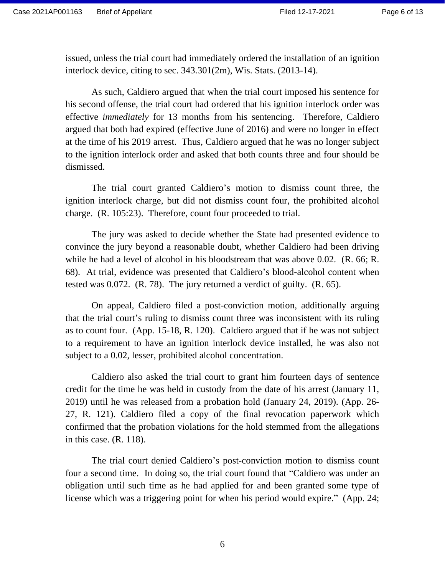issued, unless the trial court had immediately ordered the installation of an ignition interlock device, citing to sec. 343.301(2m), Wis. Stats. (2013-14).

As such, Caldiero argued that when the trial court imposed his sentence for his second offense, the trial court had ordered that his ignition interlock order was effective *immediately* for 13 months from his sentencing. Therefore, Caldiero argued that both had expired (effective June of 2016) and were no longer in effect at the time of his 2019 arrest. Thus, Caldiero argued that he was no longer subject to the ignition interlock order and asked that both counts three and four should be dismissed.

The trial court granted Caldiero's motion to dismiss count three, the ignition interlock charge, but did not dismiss count four, the prohibited alcohol charge. (R. 105:23). Therefore, count four proceeded to trial.

The jury was asked to decide whether the State had presented evidence to convince the jury beyond a reasonable doubt, whether Caldiero had been driving while he had a level of alcohol in his bloodstream that was above 0.02. (R. 66; R. 68). At trial, evidence was presented that Caldiero's blood-alcohol content when tested was 0.072. (R. 78). The jury returned a verdict of guilty. (R. 65).

On appeal, Caldiero filed a post-conviction motion, additionally arguing that the trial court's ruling to dismiss count three was inconsistent with its ruling as to count four. (App. 15-18, R. 120). Caldiero argued that if he was not subject to a requirement to have an ignition interlock device installed, he was also not subject to a 0.02, lesser, prohibited alcohol concentration.

Caldiero also asked the trial court to grant him fourteen days of sentence credit for the time he was held in custody from the date of his arrest (January 11, 2019) until he was released from a probation hold (January 24, 2019). (App. 26- 27, R. 121). Caldiero filed a copy of the final revocation paperwork which confirmed that the probation violations for the hold stemmed from the allegations in this case. (R. 118).

The trial court denied Caldiero's post-conviction motion to dismiss count four a second time. In doing so, the trial court found that "Caldiero was under an obligation until such time as he had applied for and been granted some type of license which was a triggering point for when his period would expire." (App. 24;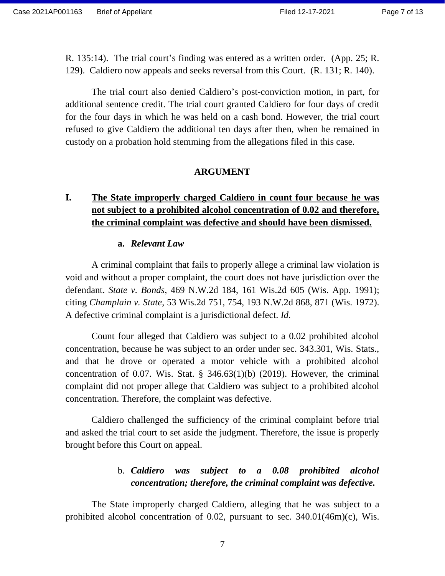R. 135:14). The trial court's finding was entered as a written order. (App. 25; R. 129). Caldiero now appeals and seeks reversal from this Court. (R. 131; R. 140).

The trial court also denied Caldiero's post-conviction motion, in part, for additional sentence credit. The trial court granted Caldiero for four days of credit for the four days in which he was held on a cash bond. However, the trial court refused to give Caldiero the additional ten days after then, when he remained in custody on a probation hold stemming from the allegations filed in this case.

#### **ARGUMENT**

## **I. The State improperly charged Caldiero in count four because he was not subject to a prohibited alcohol concentration of 0.02 and therefore, the criminal complaint was defective and should have been dismissed.**

#### **a.** *Relevant Law*

A criminal complaint that fails to properly allege a criminal law violation is void and without a proper complaint, the court does not have jurisdiction over the defendant. *State v. Bonds*, 469 N.W.2d 184, 161 Wis.2d 605 (Wis. App. 1991); citing *Champlain v. State*, 53 Wis.2d 751, 754, 193 N.W.2d 868, 871 (Wis. 1972). A defective criminal complaint is a jurisdictional defect. *Id.*

Count four alleged that Caldiero was subject to a 0.02 prohibited alcohol concentration, because he was subject to an order under sec. 343.301, Wis. Stats., and that he drove or operated a motor vehicle with a prohibited alcohol concentration of 0.07. Wis. Stat.  $\S$  346.63(1)(b) (2019). However, the criminal complaint did not proper allege that Caldiero was subject to a prohibited alcohol concentration. Therefore, the complaint was defective.

Caldiero challenged the sufficiency of the criminal complaint before trial and asked the trial court to set aside the judgment. Therefore, the issue is properly brought before this Court on appeal.

### b. *Caldiero was subject to a 0.08 prohibited alcohol concentration; therefore, the criminal complaint was defective.*

The State improperly charged Caldiero, alleging that he was subject to a prohibited alcohol concentration of 0.02, pursuant to sec. 340.01(46m)(c), Wis.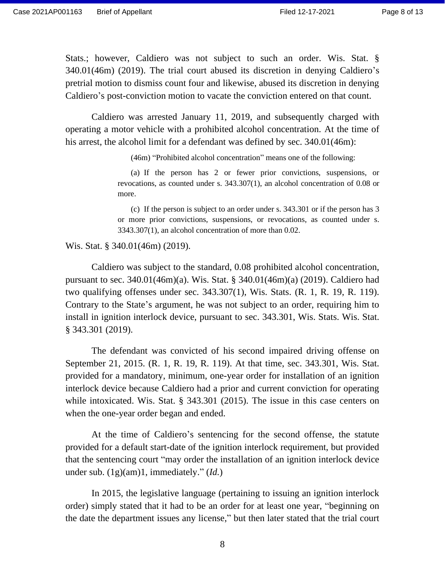Stats.; however, Caldiero was not subject to such an order. Wis. Stat. § 340.01(46m) (2019). The trial court abused its discretion in denying Caldiero's pretrial motion to dismiss count four and likewise, abused its discretion in denying Caldiero's post-conviction motion to vacate the conviction entered on that count.

Caldiero was arrested January 11, 2019, and subsequently charged with operating a motor vehicle with a prohibited alcohol concentration. At the time of his arrest, the alcohol limit for a defendant was defined by sec. 340.01(46m):

(46m) "Prohibited alcohol concentration" means one of the following:

(a) If the person has 2 or fewer prior convictions, suspensions, or revocations, as counted under s. 343.307(1), an alcohol concentration of 0.08 or more.

(c) If the person is subject to an order under s. 343.301 or if the person has 3 or more prior convictions, suspensions, or revocations, as counted under s. 3343.307(1), an alcohol concentration of more than 0.02.

Wis. Stat. § 340.01(46m) (2019).

Caldiero was subject to the standard, 0.08 prohibited alcohol concentration, pursuant to sec. 340.01(46m)(a). Wis. Stat. § 340.01(46m)(a) (2019). Caldiero had two qualifying offenses under sec. 343.307(1), Wis. Stats. (R. 1, R. 19, R. 119). Contrary to the State's argument, he was not subject to an order, requiring him to install in ignition interlock device, pursuant to sec. 343.301, Wis. Stats. Wis. Stat. § 343.301 (2019).

The defendant was convicted of his second impaired driving offense on September 21, 2015. (R. 1, R. 19, R. 119). At that time, sec. 343.301, Wis. Stat. provided for a mandatory, minimum, one-year order for installation of an ignition interlock device because Caldiero had a prior and current conviction for operating while intoxicated. Wis. Stat. § 343.301 (2015). The issue in this case centers on when the one-year order began and ended.

At the time of Caldiero's sentencing for the second offense, the statute provided for a default start-date of the ignition interlock requirement, but provided that the sentencing court "may order the installation of an ignition interlock device under sub. (1g)(am)1, immediately." (*Id.*)

In 2015, the legislative language (pertaining to issuing an ignition interlock order) simply stated that it had to be an order for at least one year, "beginning on the date the department issues any license," but then later stated that the trial court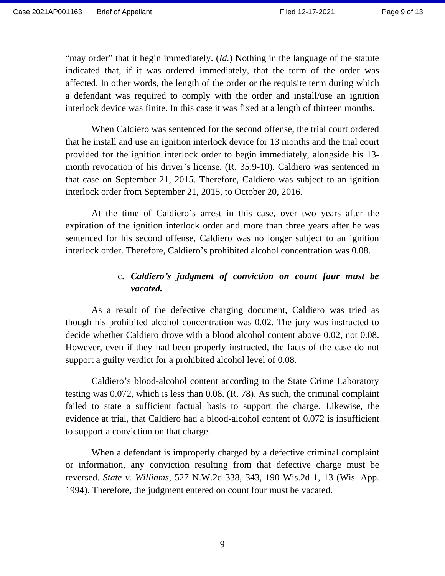"may order" that it begin immediately. (*Id.*) Nothing in the language of the statute indicated that, if it was ordered immediately, that the term of the order was affected. In other words, the length of the order or the requisite term during which a defendant was required to comply with the order and install/use an ignition interlock device was finite. In this case it was fixed at a length of thirteen months.

When Caldiero was sentenced for the second offense, the trial court ordered that he install and use an ignition interlock device for 13 months and the trial court provided for the ignition interlock order to begin immediately, alongside his 13 month revocation of his driver's license. (R. 35:9-10). Caldiero was sentenced in that case on September 21, 2015. Therefore, Caldiero was subject to an ignition interlock order from September 21, 2015, to October 20, 2016.

At the time of Caldiero's arrest in this case, over two years after the expiration of the ignition interlock order and more than three years after he was sentenced for his second offense, Caldiero was no longer subject to an ignition interlock order. Therefore, Caldiero's prohibited alcohol concentration was 0.08.

### c. *Caldiero's judgment of conviction on count four must be vacated.*

As a result of the defective charging document, Caldiero was tried as though his prohibited alcohol concentration was 0.02. The jury was instructed to decide whether Caldiero drove with a blood alcohol content above 0.02, not 0.08. However, even if they had been properly instructed, the facts of the case do not support a guilty verdict for a prohibited alcohol level of 0.08.

Caldiero's blood-alcohol content according to the State Crime Laboratory testing was 0.072, which is less than 0.08. (R. 78). As such, the criminal complaint failed to state a sufficient factual basis to support the charge. Likewise, the evidence at trial, that Caldiero had a blood-alcohol content of 0.072 is insufficient to support a conviction on that charge.

When a defendant is improperly charged by a defective criminal complaint or information, any conviction resulting from that defective charge must be reversed. *State v. Williams*, 527 N.W.2d 338, 343, 190 Wis.2d 1, 13 (Wis. App. 1994). Therefore, the judgment entered on count four must be vacated.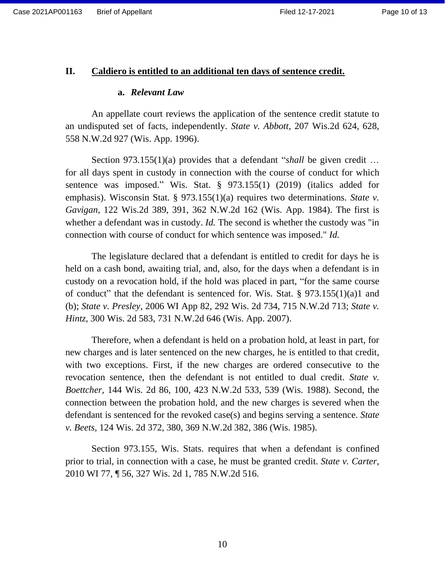#### **II. Caldiero is entitled to an additional ten days of sentence credit.**

#### **a.** *Relevant Law*

An appellate court reviews the application of the sentence credit statute to an undisputed set of facts, independently. *State v. Abbott*, 207 Wis.2d 624, 628, 558 N.W.2d 927 (Wis. App. 1996).

Section 973.155(1)(a) provides that a defendant "*shall* be given credit … for all days spent in custody in connection with the course of conduct for which sentence was imposed." Wis. Stat. § 973.155(1) (2019) (italics added for emphasis). Wisconsin Stat. § 973.155(1)(a) requires two determinations. *State v. Gavigan*, 122 Wis.2d 389, 391, 362 N.W.2d 162 (Wis. App. 1984). The first is whether a defendant was in custody. *Id*. The second is whether the custody was "in connection with course of conduct for which sentence was imposed." *Id.*

The legislature declared that a defendant is entitled to credit for days he is held on a cash bond, awaiting trial, and, also, for the days when a defendant is in custody on a revocation hold, if the hold was placed in part, "for the same course of conduct" that the defendant is sentenced for. Wis. Stat. § 973.155(1)(a)1 and (b); *State v. Presley*, 2006 WI App 82, 292 Wis. 2d 734, 715 N.W.2d 713; *State v. Hintz,* 300 Wis. 2d 583, 731 N.W.2d 646 (Wis. App. 2007).

Therefore, when a defendant is held on a probation hold, at least in part, for new charges and is later sentenced on the new charges, he is entitled to that credit, with two exceptions. First, if the new charges are ordered consecutive to the revocation sentence, then the defendant is not entitled to dual credit. *State v. Boettcher,* 144 Wis. 2d 86, 100, 423 N.W.2d 533, 539 (Wis. 1988). Second, the connection between the probation hold, and the new charges is severed when the defendant is sentenced for the revoked case(s) and begins serving a sentence. *State v. Beets,* 124 Wis. 2d 372, 380, 369 N.W.2d 382, 386 (Wis. 1985).

Section 973.155, Wis. Stats. requires that when a defendant is confined prior to trial, in connection with a case, he must be granted credit. *State v. Carter,*  2010 WI 77, ¶ 56, 327 Wis. 2d 1, 785 N.W.2d 516.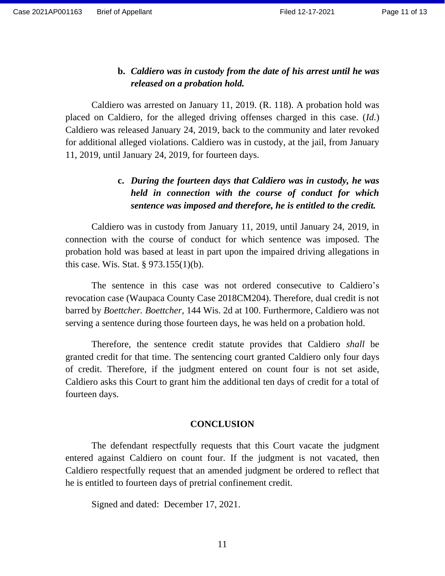### **b.** *Caldiero was in custody from the date of his arrest until he was released on a probation hold.*

Caldiero was arrested on January 11, 2019. (R. 118). A probation hold was placed on Caldiero, for the alleged driving offenses charged in this case. (*Id.*) Caldiero was released January 24, 2019, back to the community and later revoked for additional alleged violations. Caldiero was in custody, at the jail, from January 11, 2019, until January 24, 2019, for fourteen days.

### **c.** *During the fourteen days that Caldiero was in custody, he was held in connection with the course of conduct for which sentence was imposed and therefore, he is entitled to the credit.*

Caldiero was in custody from January 11, 2019, until January 24, 2019, in connection with the course of conduct for which sentence was imposed. The probation hold was based at least in part upon the impaired driving allegations in this case. Wis. Stat. § 973.155(1)(b).

The sentence in this case was not ordered consecutive to Caldiero's revocation case (Waupaca County Case 2018CM204). Therefore, dual credit is not barred by *Boettcher. Boettcher,* 144 Wis. 2d at 100. Furthermore, Caldiero was not serving a sentence during those fourteen days, he was held on a probation hold.

Therefore, the sentence credit statute provides that Caldiero *shall* be granted credit for that time. The sentencing court granted Caldiero only four days of credit. Therefore, if the judgment entered on count four is not set aside, Caldiero asks this Court to grant him the additional ten days of credit for a total of fourteen days.

#### **CONCLUSION**

The defendant respectfully requests that this Court vacate the judgment entered against Caldiero on count four. If the judgment is not vacated, then Caldiero respectfully request that an amended judgment be ordered to reflect that he is entitled to fourteen days of pretrial confinement credit.

Signed and dated: December 17, 2021.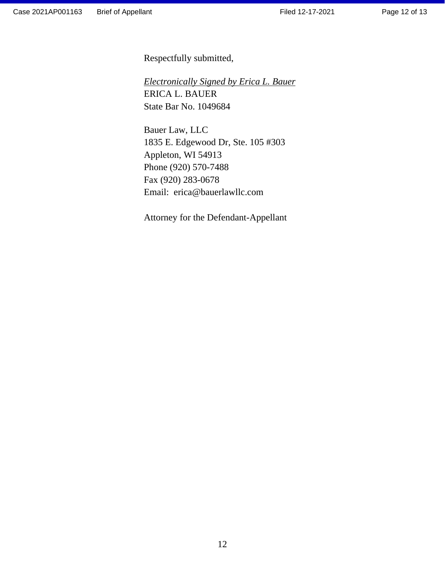Respectfully submitted,

*Electronically Signed by Erica L. Bauer* ERICA L. BAUER State Bar No. 1049684

Bauer Law, LLC 1835 E. Edgewood Dr, Ste. 105 #303 Appleton, WI 54913 Phone (920) 570-7488 Fax (920) 283-0678 Email: erica@bauerlawllc.com

Attorney for the Defendant-Appellant